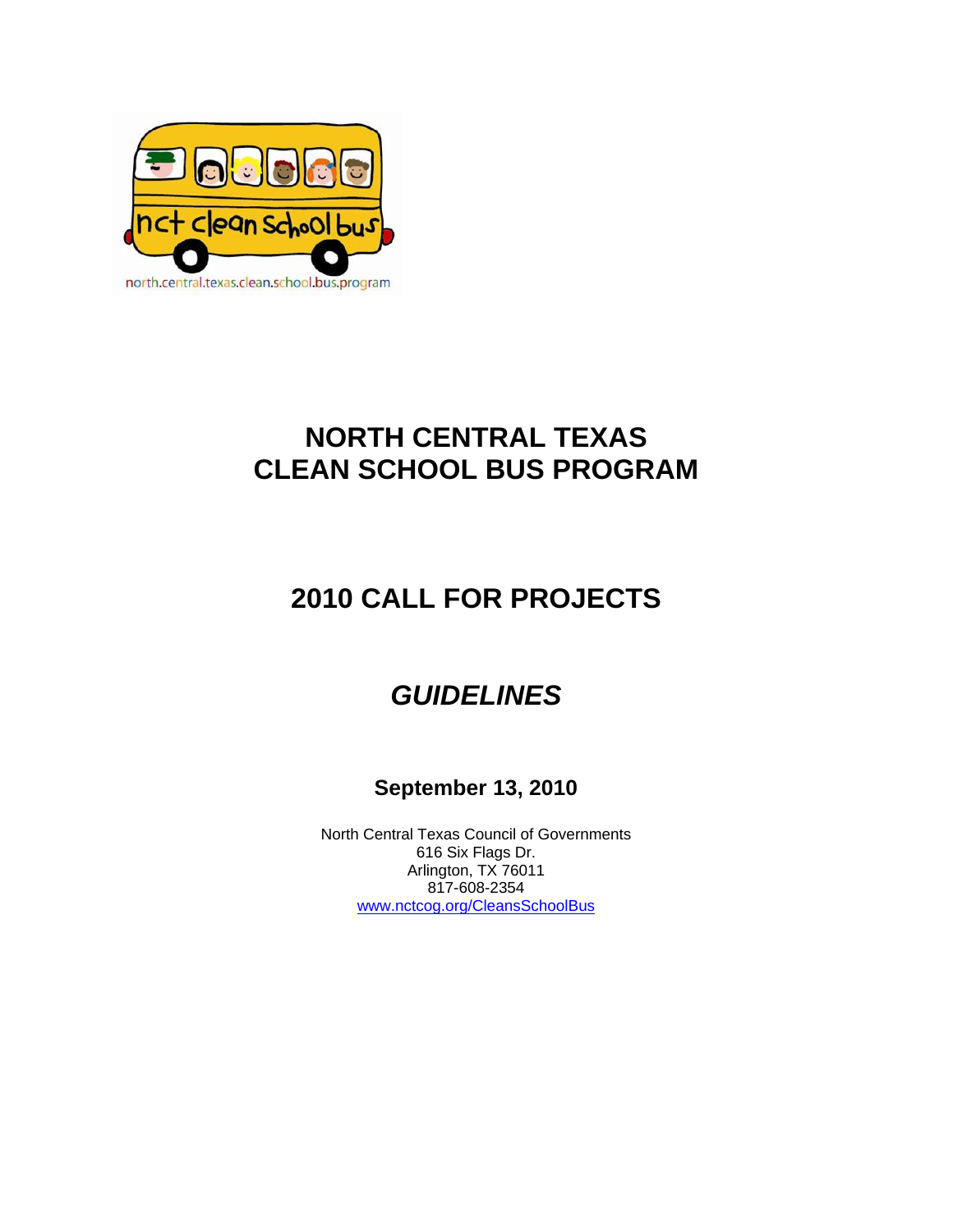

## **NORTH CENTRAL TEXAS CLEAN SCHOOL BUS PROGRAM**

# **2010 CALL FOR PROJECTS**

## *GUIDELINES*

### **September 13, 2010**

North Central Texas Council of Governments 616 Six Flags Dr. Arlington, TX 76011 817-608-2354 www.nctcog.org/CleansSchoolBus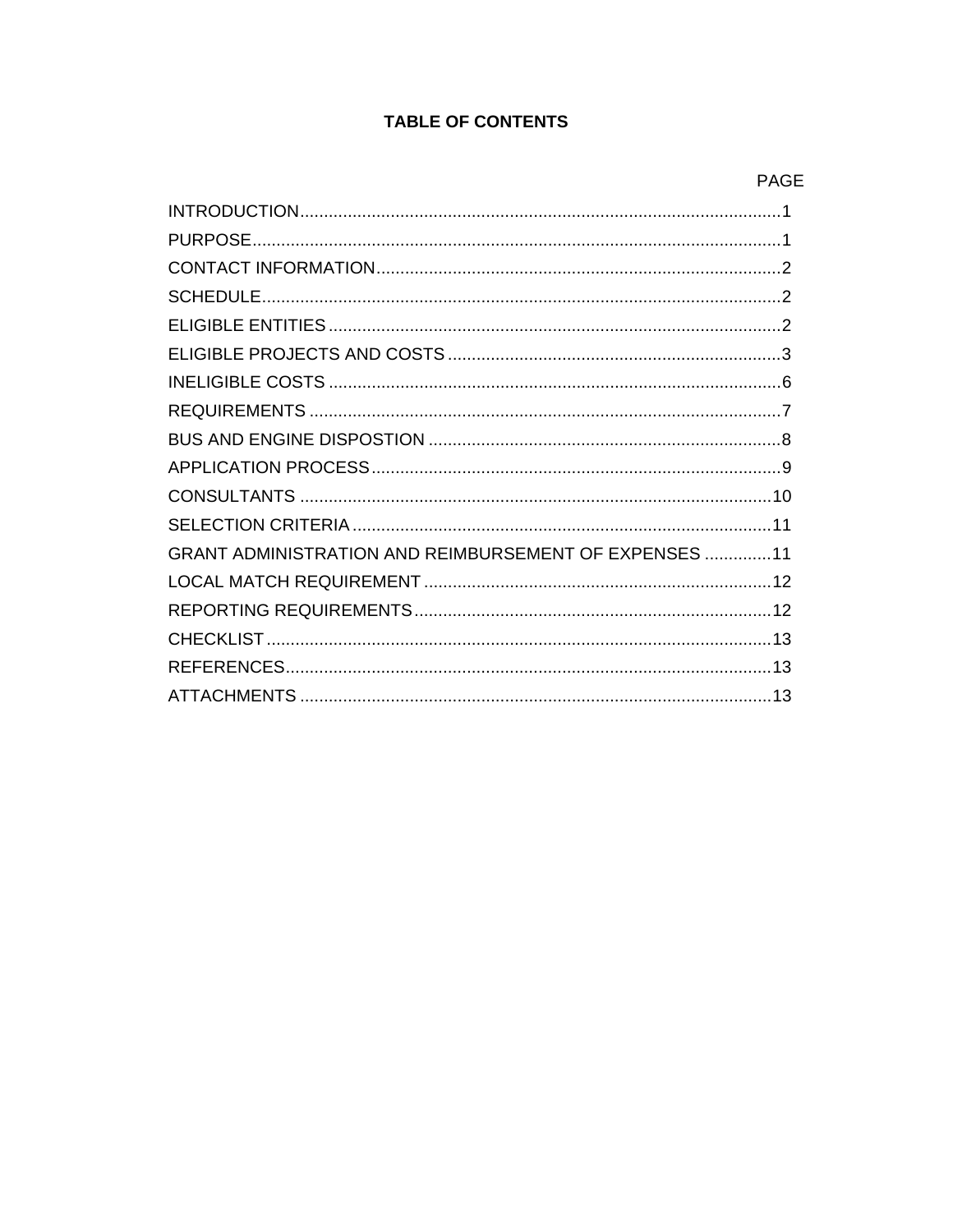#### **TABLE OF CONTENTS**

| GRANT ADMINISTRATION AND REIMBURSEMENT OF EXPENSES 11 |
|-------------------------------------------------------|
|                                                       |
|                                                       |
|                                                       |
|                                                       |
|                                                       |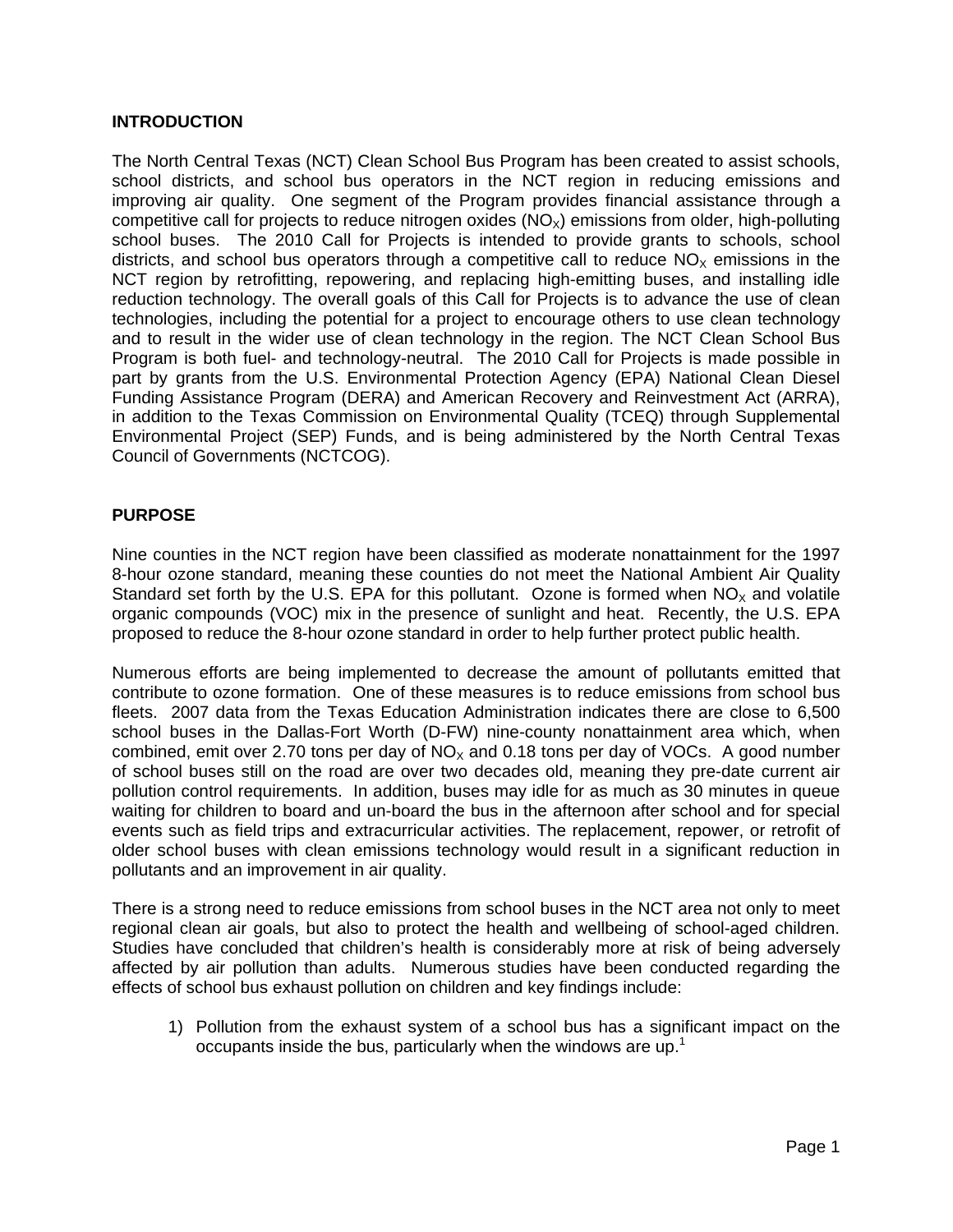#### **INTRODUCTION**

The North Central Texas (NCT) Clean School Bus Program has been created to assist schools, school districts, and school bus operators in the NCT region in reducing emissions and improving air quality. One segment of the Program provides financial assistance through a competitive call for projects to reduce nitrogen oxides  $(NO<sub>x</sub>)$  emissions from older, high-polluting school buses. The 2010 Call for Projects is intended to provide grants to schools, school districts, and school bus operators through a competitive call to reduce  $NO<sub>x</sub>$  emissions in the NCT region by retrofitting, repowering, and replacing high-emitting buses, and installing idle reduction technology. The overall goals of this Call for Projects is to advance the use of clean technologies, including the potential for a project to encourage others to use clean technology and to result in the wider use of clean technology in the region. The NCT Clean School Bus Program is both fuel- and technology-neutral. The 2010 Call for Projects is made possible in part by grants from the U.S. Environmental Protection Agency (EPA) National Clean Diesel Funding Assistance Program (DERA) and American Recovery and Reinvestment Act (ARRA), in addition to the Texas Commission on Environmental Quality (TCEQ) through Supplemental Environmental Project (SEP) Funds, and is being administered by the North Central Texas Council of Governments (NCTCOG).

#### **PURPOSE**

Nine counties in the NCT region have been classified as moderate nonattainment for the 1997 8-hour ozone standard, meaning these counties do not meet the National Ambient Air Quality Standard set forth by the U.S. EPA for this pollutant. Ozone is formed when  $NO<sub>x</sub>$  and volatile organic compounds (VOC) mix in the presence of sunlight and heat. Recently, the U.S. EPA proposed to reduce the 8-hour ozone standard in order to help further protect public health.

Numerous efforts are being implemented to decrease the amount of pollutants emitted that contribute to ozone formation. One of these measures is to reduce emissions from school bus fleets. 2007 data from the Texas Education Administration indicates there are close to 6,500 school buses in the Dallas-Fort Worth (D-FW) nine-county nonattainment area which, when combined, emit over 2.70 tons per day of  $NO<sub>x</sub>$  and 0.18 tons per day of VOCs. A good number of school buses still on the road are over two decades old, meaning they pre-date current air pollution control requirements. In addition, buses may idle for as much as 30 minutes in queue waiting for children to board and un-board the bus in the afternoon after school and for special events such as field trips and extracurricular activities. The replacement, repower, or retrofit of older school buses with clean emissions technology would result in a significant reduction in pollutants and an improvement in air quality.

There is a strong need to reduce emissions from school buses in the NCT area not only to meet regional clean air goals, but also to protect the health and wellbeing of school-aged children. Studies have concluded that children's health is considerably more at risk of being adversely affected by air pollution than adults. Numerous studies have been conducted regarding the effects of school bus exhaust pollution on children and key findings include:

1) Pollution from the exhaust system of a school bus has a significant impact on the occupants inside the bus, particularly when the windows are up.<sup>1</sup>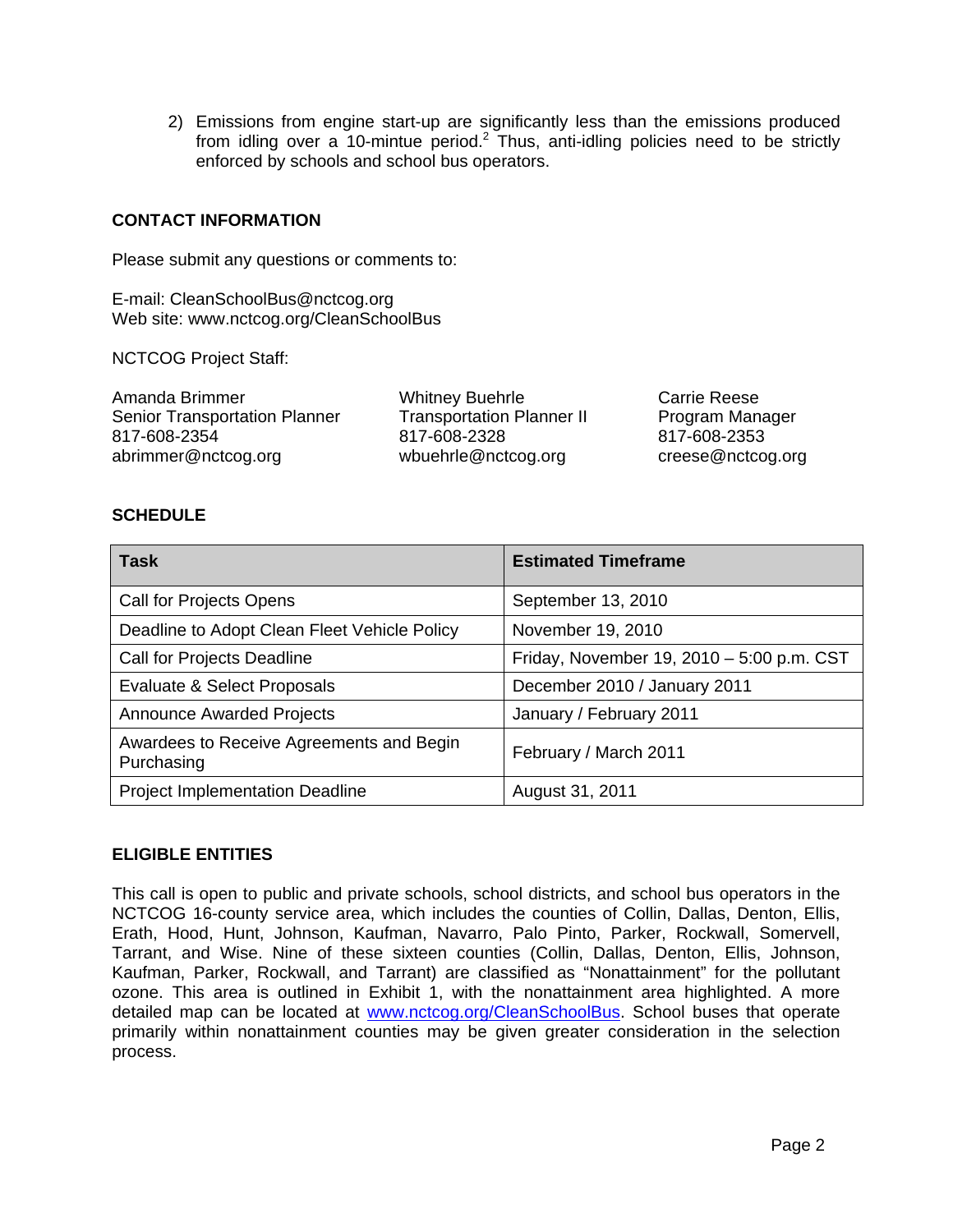2) Emissions from engine start-up are significantly less than the emissions produced from idling over a 10-mintue period.<sup>2</sup> Thus, anti-idling policies need to be strictly enforced by schools and school bus operators.

#### **CONTACT INFORMATION**

Please submit any questions or comments to:

E-mail: CleanSchoolBus@nctcog.org Web site: www.nctcog.org/CleanSchoolBus

NCTCOG Project Staff:

Amanda Brimmer Senior Transportation Planner 817-608-2354 abrimmer@nctcog.org

Whitney Buehrle Transportation Planner II 817-608-2328 wbuehrle@nctcog.org

Carrie Reese Program Manager 817-608-2353 creese@nctcog.org

#### **SCHEDULE**

| <b>Task</b>                                            | <b>Estimated Timeframe</b>                |
|--------------------------------------------------------|-------------------------------------------|
| Call for Projects Opens                                | September 13, 2010                        |
| Deadline to Adopt Clean Fleet Vehicle Policy           | November 19, 2010                         |
| Call for Projects Deadline                             | Friday, November 19, 2010 - 5:00 p.m. CST |
| Evaluate & Select Proposals                            | December 2010 / January 2011              |
| <b>Announce Awarded Projects</b>                       | January / February 2011                   |
| Awardees to Receive Agreements and Begin<br>Purchasing | February / March 2011                     |
| <b>Project Implementation Deadline</b>                 | August 31, 2011                           |

#### **ELIGIBLE ENTITIES**

This call is open to public and private schools, school districts, and school bus operators in the NCTCOG 16-county service area, which includes the counties of Collin, Dallas, Denton, Ellis, Erath, Hood, Hunt, Johnson, Kaufman, Navarro, Palo Pinto, Parker, Rockwall, Somervell, Tarrant, and Wise. Nine of these sixteen counties (Collin, Dallas, Denton, Ellis, Johnson, Kaufman, Parker, Rockwall, and Tarrant) are classified as "Nonattainment" for the pollutant ozone. This area is outlined in Exhibit 1, with the nonattainment area highlighted. A more detailed map can be located at www.nctcog.org/CleanSchoolBus. School buses that operate primarily within nonattainment counties may be given greater consideration in the selection process.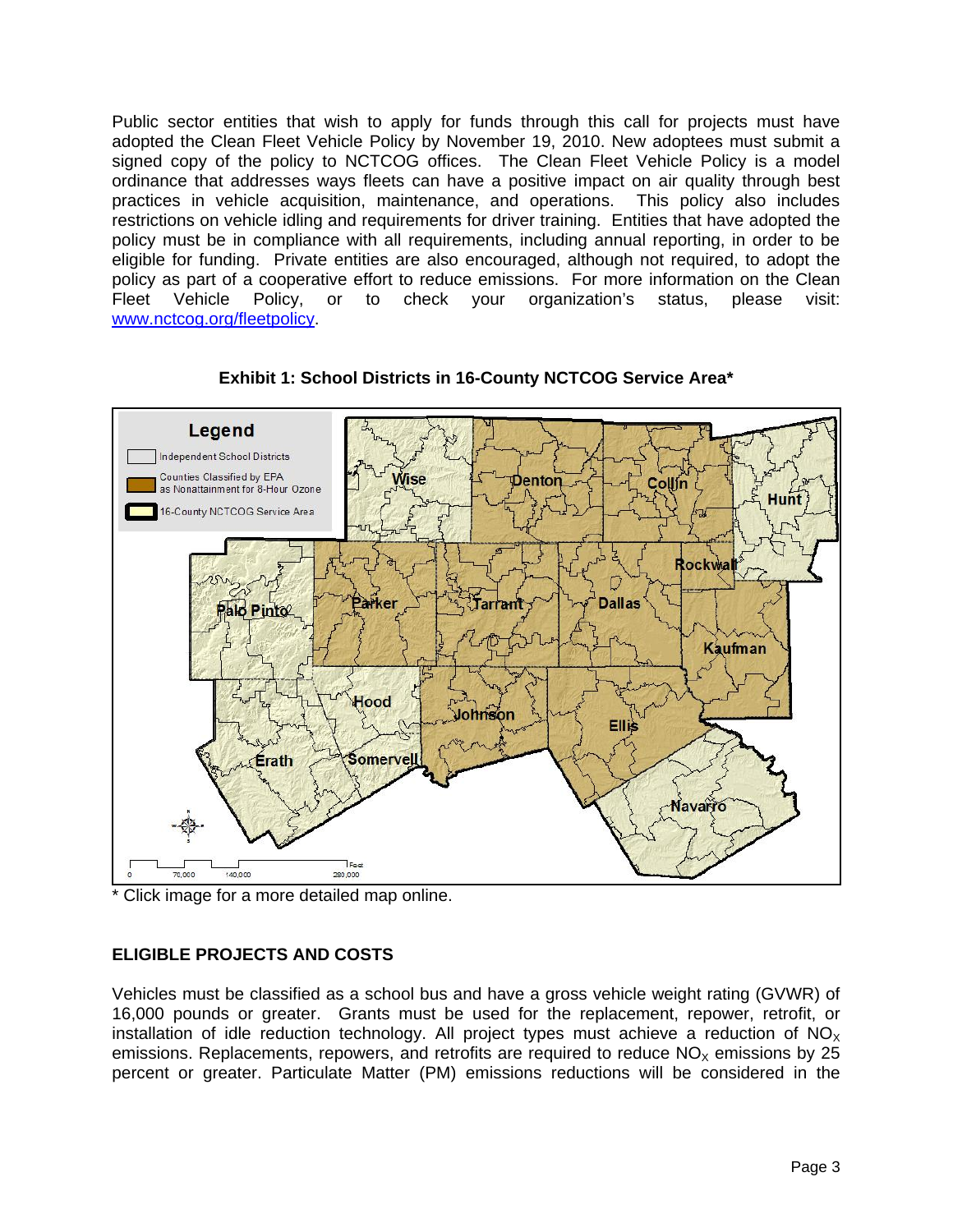Public sector entities that wish to apply for funds through this call for projects must have adopted the Clean Fleet Vehicle Policy by November 19, 2010. New adoptees must submit a signed copy of the policy to NCTCOG offices. The Clean Fleet Vehicle Policy is a model ordinance that addresses ways fleets can have a positive impact on air quality through best practices in vehicle acquisition, maintenance, and operations. This policy also includes restrictions on vehicle idling and requirements for driver training. Entities that have adopted the policy must be in compliance with all requirements, including annual reporting, in order to be eligible for funding. Private entities are also encouraged, although not required, to adopt the policy as part of a cooperative effort to reduce emissions. For more information on the Clean Fleet Vehicle Policy, or to check your organization's status, please visit: www.nctcog.org/fleetpolicy.



**Exhibit 1: School Districts in 16-County NCTCOG Service Area\*** 

\* Click image for a more detailed map online.

#### **ELIGIBLE PROJECTS AND COSTS**

Vehicles must be classified as a school bus and have a gross vehicle weight rating (GVWR) of 16,000 pounds or greater. Grants must be used for the replacement, repower, retrofit, or installation of idle reduction technology. All project types must achieve a reduction of  $NO<sub>x</sub>$ emissions. Replacements, repowers, and retrofits are required to reduce  $NO<sub>x</sub>$  emissions by 25 percent or greater. Particulate Matter (PM) emissions reductions will be considered in the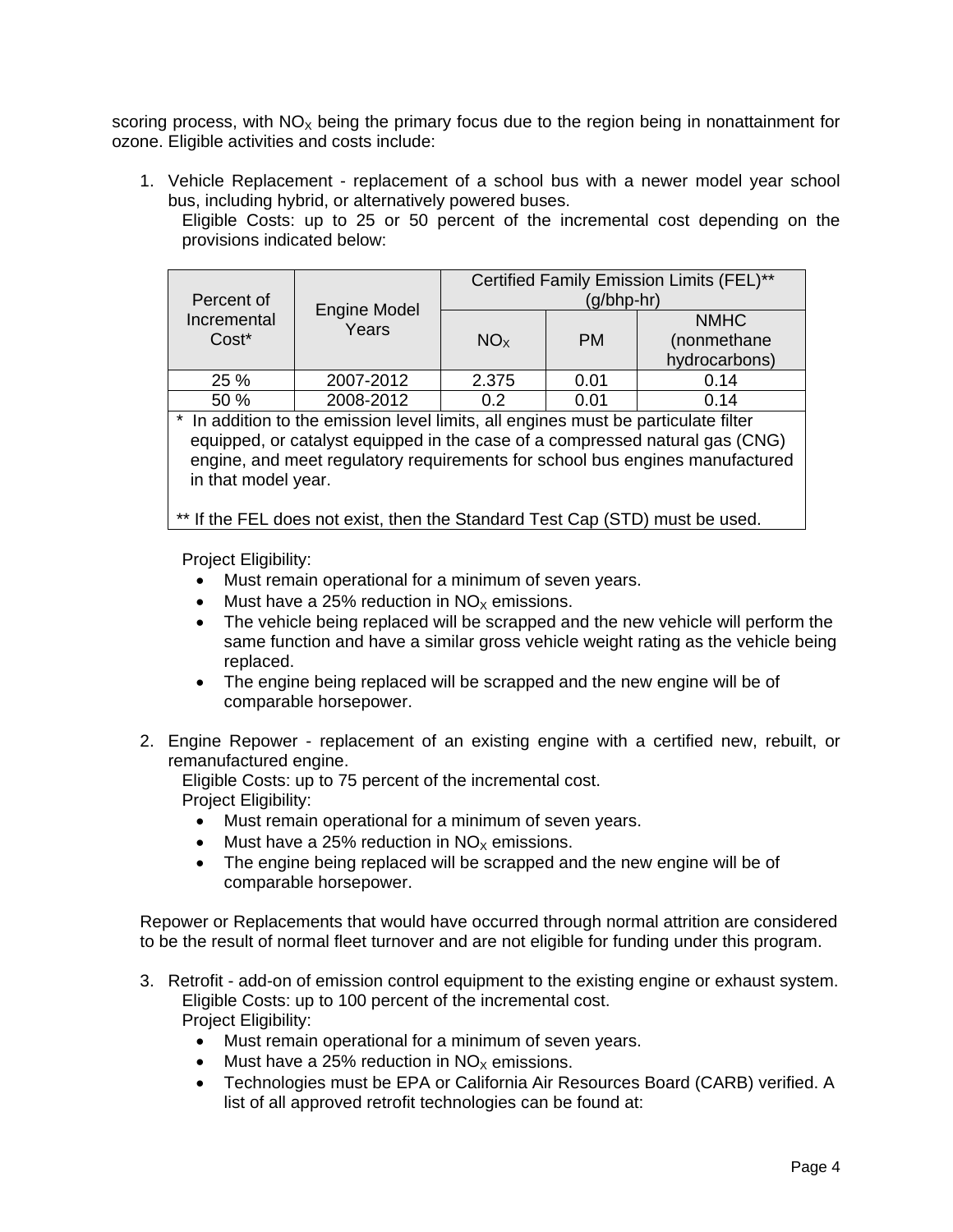scoring process, with  $NO<sub>x</sub>$  being the primary focus due to the region being in nonattainment for ozone. Eligible activities and costs include:

1. Vehicle Replacement - replacement of a school bus with a newer model year school bus, including hybrid, or alternatively powered buses.

Eligible Costs: up to 25 or 50 percent of the incremental cost depending on the provisions indicated below:

| Percent of           |                       | Certified Family Emission Limits (FEL)**<br>$(g/bhp-hr)$ |           |                                             |  |
|----------------------|-----------------------|----------------------------------------------------------|-----------|---------------------------------------------|--|
| Incremental<br>Cost* | Engine Model<br>Years | NO <sub>x</sub>                                          | <b>PM</b> | <b>NMHC</b><br>(nonmethane<br>hydrocarbons) |  |
| 25 %                 | 2007-2012             | 2.375                                                    | 0.01      | 0.14                                        |  |
| 50 %                 | 2008-2012             | 0.2                                                      | 0.01      | 0.14                                        |  |

\* In addition to the emission level limits, all engines must be particulate filter equipped, or catalyst equipped in the case of a compressed natural gas (CNG) engine, and meet regulatory requirements for school bus engines manufactured in that model year.

\*\* If the FEL does not exist, then the Standard Test Cap (STD) must be used.

Project Eligibility:

- Must remain operational for a minimum of seven years.
- $\bullet$  Must have a 25% reduction in NO<sub>x</sub> emissions.
- The vehicle being replaced will be scrapped and the new vehicle will perform the same function and have a similar gross vehicle weight rating as the vehicle being replaced.
- The engine being replaced will be scrapped and the new engine will be of comparable horsepower.
- 2. Engine Repower replacement of an existing engine with a certified new, rebuilt, or remanufactured engine.

Eligible Costs: up to 75 percent of the incremental cost. Project Eligibility:

- Must remain operational for a minimum of seven years.
- Must have a 25% reduction in  $NO<sub>x</sub>$  emissions.
- The engine being replaced will be scrapped and the new engine will be of comparable horsepower.

Repower or Replacements that would have occurred through normal attrition are considered to be the result of normal fleet turnover and are not eligible for funding under this program.

- 3. Retrofit add-on of emission control equipment to the existing engine or exhaust system. Eligible Costs: up to 100 percent of the incremental cost. Project Eligibility:
	- Must remain operational for a minimum of seven years.
	- Must have a 25% reduction in  $NO<sub>x</sub>$  emissions.
	- Technologies must be EPA or California Air Resources Board (CARB) verified. A list of all approved retrofit technologies can be found at: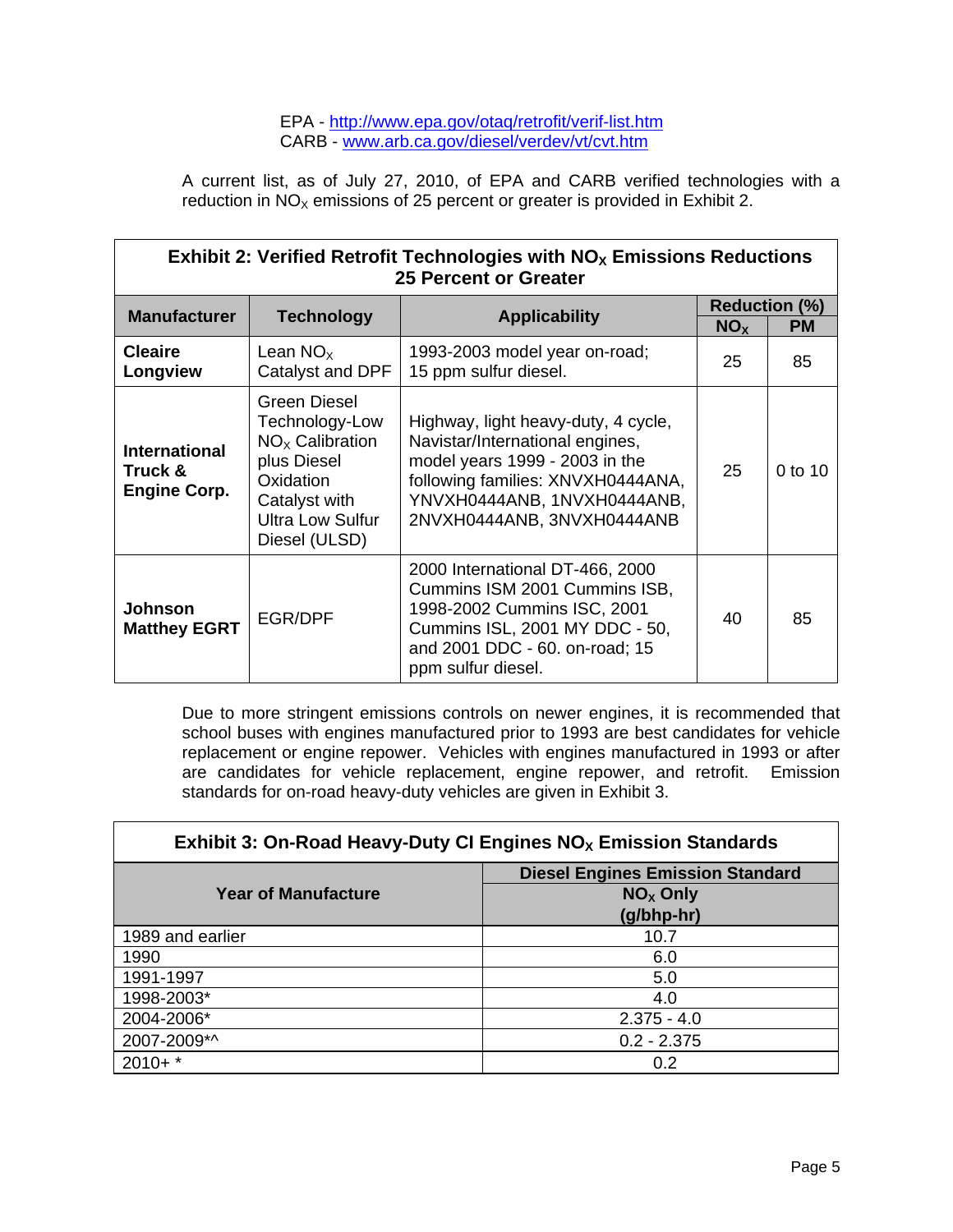#### EPA - http://www.epa.gov/otaq/retrofit/verif-list.htm CARB - www.arb.ca.gov/diesel/verdev/vt/cvt.htm

A current list, as of July 27, 2010, of EPA and CARB verified technologies with a reduction in  $NO<sub>x</sub>$  emissions of 25 percent or greater is provided in Exhibit 2.

| Exhibit 2: Verified Retrofit Technologies with $NOx$ Emissions Reductions<br>25 Percent or Greater |                                                                                                                                              |                                                                                                                                                                                                            |                 |                                   |
|----------------------------------------------------------------------------------------------------|----------------------------------------------------------------------------------------------------------------------------------------------|------------------------------------------------------------------------------------------------------------------------------------------------------------------------------------------------------------|-----------------|-----------------------------------|
| <b>Manufacturer</b>                                                                                | <b>Technology</b>                                                                                                                            | <b>Applicability</b>                                                                                                                                                                                       | NO <sub>x</sub> | <b>Reduction (%)</b><br><b>PM</b> |
| <b>Cleaire</b><br>Longview                                                                         | Lean $NOx$<br>Catalyst and DPF                                                                                                               | 1993-2003 model year on-road;<br>15 ppm sulfur diesel.                                                                                                                                                     | 25              | 85                                |
| <b>International</b><br>Truck &<br><b>Engine Corp.</b>                                             | Green Diesel<br>Technology-Low<br>$NOx$ Calibration<br>plus Diesel<br>Oxidation<br>Catalyst with<br><b>Ultra Low Sulfur</b><br>Diesel (ULSD) | Highway, light heavy-duty, 4 cycle,<br>Navistar/International engines,<br>model years 1999 - 2003 in the<br>following families: XNVXH0444ANA,<br>YNVXH0444ANB, 1NVXH0444ANB,<br>2NVXH0444ANB, 3NVXH0444ANB | 25              | 0 to 10                           |
| <b>Johnson</b><br><b>Matthey EGRT</b>                                                              | EGR/DPF                                                                                                                                      | 2000 International DT-466, 2000<br>Cummins ISM 2001 Cummins ISB,<br>1998-2002 Cummins ISC, 2001<br>Cummins ISL, 2001 MY DDC - 50,<br>and 2001 DDC - 60. on-road; 15<br>ppm sulfur diesel.                  | 40              | 85                                |

Due to more stringent emissions controls on newer engines, it is recommended that school buses with engines manufactured prior to 1993 are best candidates for vehicle replacement or engine repower. Vehicles with engines manufactured in 1993 or after are candidates for vehicle replacement, engine repower, and retrofit. Emission standards for on-road heavy-duty vehicles are given in Exhibit 3.

| Exhibit 3: On-Road Heavy-Duty CI Engines $NOX$ Emission Standards |                                                                     |  |
|-------------------------------------------------------------------|---------------------------------------------------------------------|--|
| <b>Year of Manufacture</b>                                        | <b>Diesel Engines Emission Standard</b><br>$NOx$ Only<br>(g/bhp-hr) |  |
| 1989 and earlier                                                  | 10.7                                                                |  |
| 1990                                                              | 6.0                                                                 |  |
| 1991-1997                                                         | 5.0                                                                 |  |
| 1998-2003*                                                        | 4.0                                                                 |  |
| 2004-2006*                                                        | $2.375 - 4.0$                                                       |  |
| 2007-2009*^                                                       | $0.2 - 2.375$                                                       |  |
| $2010+$ *                                                         | 0.2                                                                 |  |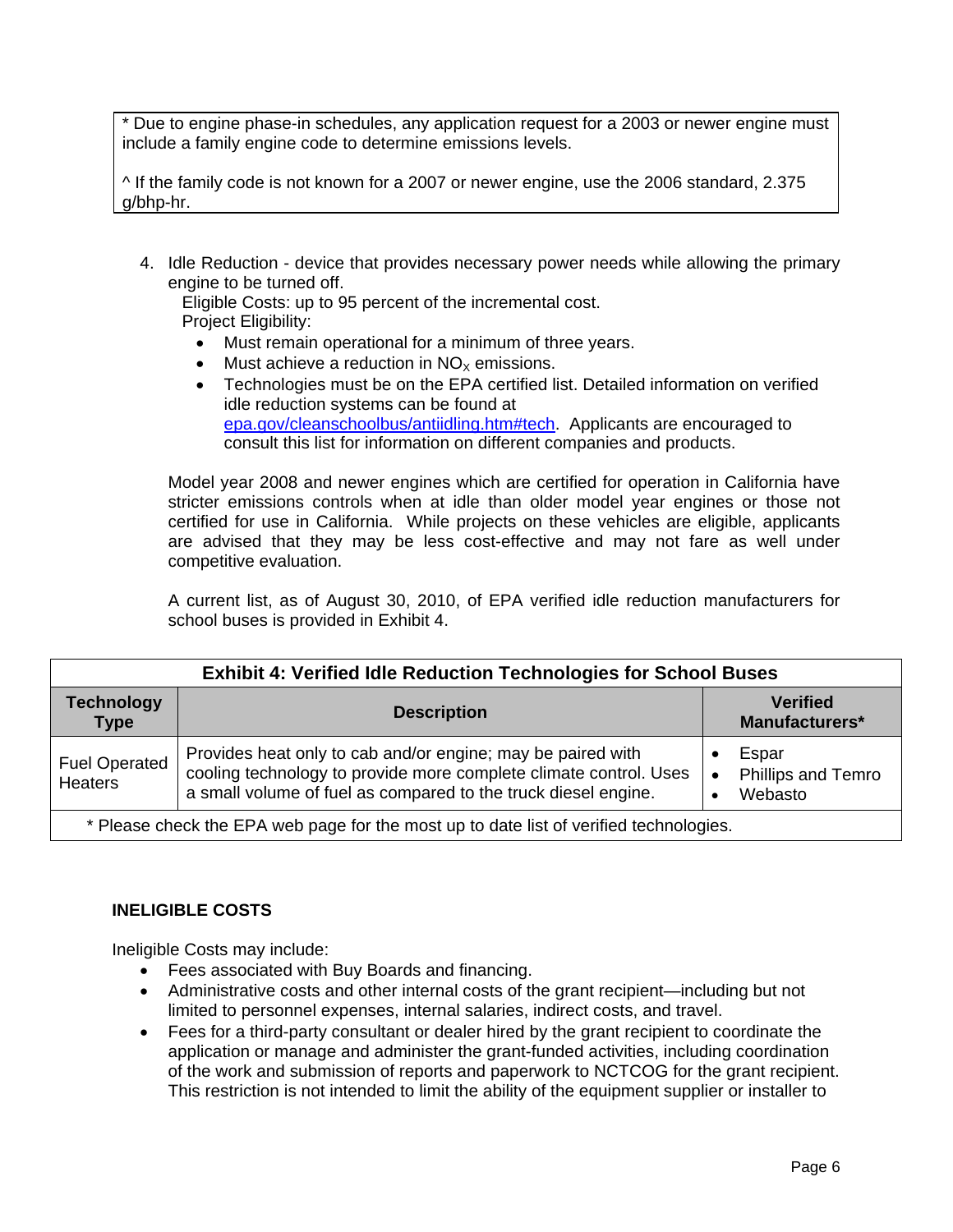\* Due to engine phase-in schedules, any application request for a 2003 or newer engine must include a family engine code to determine emissions levels.

^ If the family code is not known for a 2007 or newer engine, use the 2006 standard, 2.375 g/bhp-hr.

4. Idle Reduction - device that provides necessary power needs while allowing the primary engine to be turned off.

Eligible Costs: up to 95 percent of the incremental cost. Project Eligibility:

- Must remain operational for a minimum of three years.
- $\bullet$  Must achieve a reduction in NO<sub>x</sub> emissions.
- Technologies must be on the EPA certified list. Detailed information on verified idle reduction systems can be found at epa.gov/cleanschoolbus/antiidling.htm#tech. Applicants are encouraged to consult this list for information on different companies and products.

Model year 2008 and newer engines which are certified for operation in California have stricter emissions controls when at idle than older model year engines or those not certified for use in California. While projects on these vehicles are eligible, applicants are advised that they may be less cost-effective and may not fare as well under competitive evaluation.

A current list, as of August 30, 2010, of EPA verified idle reduction manufacturers for school buses is provided in Exhibit 4.

| <b>Exhibit 4: Verified Idle Reduction Technologies for School Buses</b>                |                                                                                                                                                                                                    |                                                     |
|----------------------------------------------------------------------------------------|----------------------------------------------------------------------------------------------------------------------------------------------------------------------------------------------------|-----------------------------------------------------|
| <b>Technology</b><br><b>Type</b>                                                       | <b>Description</b>                                                                                                                                                                                 | <b>Verified</b><br>Manufacturers*                   |
| <b>Fuel Operated</b><br>Heaters                                                        | Provides heat only to cab and/or engine; may be paired with<br>cooling technology to provide more complete climate control. Uses<br>a small volume of fuel as compared to the truck diesel engine. | Espar<br>Phillips and Temro<br>$\bullet$<br>Webasto |
| * Please check the EPA web page for the most up to date list of verified technologies. |                                                                                                                                                                                                    |                                                     |

#### **INELIGIBLE COSTS**

Ineligible Costs may include:

- Fees associated with Buy Boards and financing.
- Administrative costs and other internal costs of the grant recipient—including but not limited to personnel expenses, internal salaries, indirect costs, and travel.
- Fees for a third-party consultant or dealer hired by the grant recipient to coordinate the application or manage and administer the grant-funded activities, including coordination of the work and submission of reports and paperwork to NCTCOG for the grant recipient. This restriction is not intended to limit the ability of the equipment supplier or installer to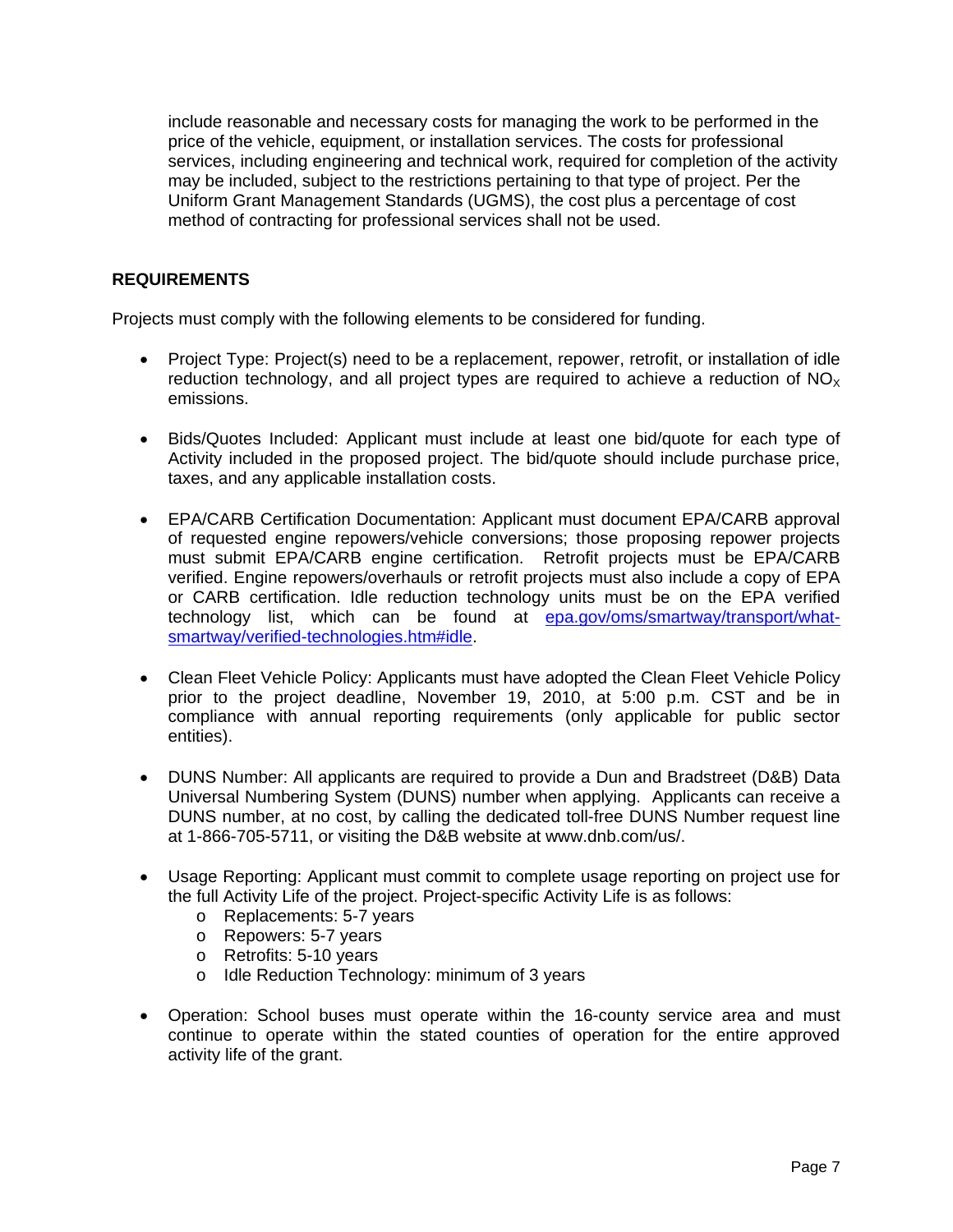include reasonable and necessary costs for managing the work to be performed in the price of the vehicle, equipment, or installation services. The costs for professional services, including engineering and technical work, required for completion of the activity may be included, subject to the restrictions pertaining to that type of project. Per the Uniform Grant Management Standards (UGMS), the cost plus a percentage of cost method of contracting for professional services shall not be used.

#### **REQUIREMENTS**

Projects must comply with the following elements to be considered for funding.

- Project Type: Project(s) need to be a replacement, repower, retrofit, or installation of idle reduction technology, and all project types are required to achieve a reduction of  $NO<sub>x</sub>$ emissions.
- Bids/Quotes Included: Applicant must include at least one bid/quote for each type of Activity included in the proposed project. The bid/quote should include purchase price, taxes, and any applicable installation costs.
- EPA/CARB Certification Documentation: Applicant must document EPA/CARB approval of requested engine repowers/vehicle conversions; those proposing repower projects must submit EPA/CARB engine certification. Retrofit projects must be EPA/CARB verified. Engine repowers/overhauls or retrofit projects must also include a copy of EPA or CARB certification. Idle reduction technology units must be on the EPA verified technology list, which can be found at epa.gov/oms/smartway/transport/whatsmartway/verified-technologies.htm#idle.
- Clean Fleet Vehicle Policy: Applicants must have adopted the Clean Fleet Vehicle Policy prior to the project deadline, November 19, 2010, at 5:00 p.m. CST and be in compliance with annual reporting requirements (only applicable for public sector entities).
- DUNS Number: All applicants are required to provide a Dun and Bradstreet (D&B) Data Universal Numbering System (DUNS) number when applying. Applicants can receive a DUNS number, at no cost, by calling the dedicated toll-free DUNS Number request line at 1-866-705-5711, or visiting the D&B website at www.dnb.com/us/.
- Usage Reporting: Applicant must commit to complete usage reporting on project use for the full Activity Life of the project. Project-specific Activity Life is as follows:
	- o Replacements: 5-7 years
	- o Repowers: 5-7 years
	- o Retrofits: 5-10 years
	- o Idle Reduction Technology: minimum of 3 years
- Operation: School buses must operate within the 16-county service area and must continue to operate within the stated counties of operation for the entire approved activity life of the grant.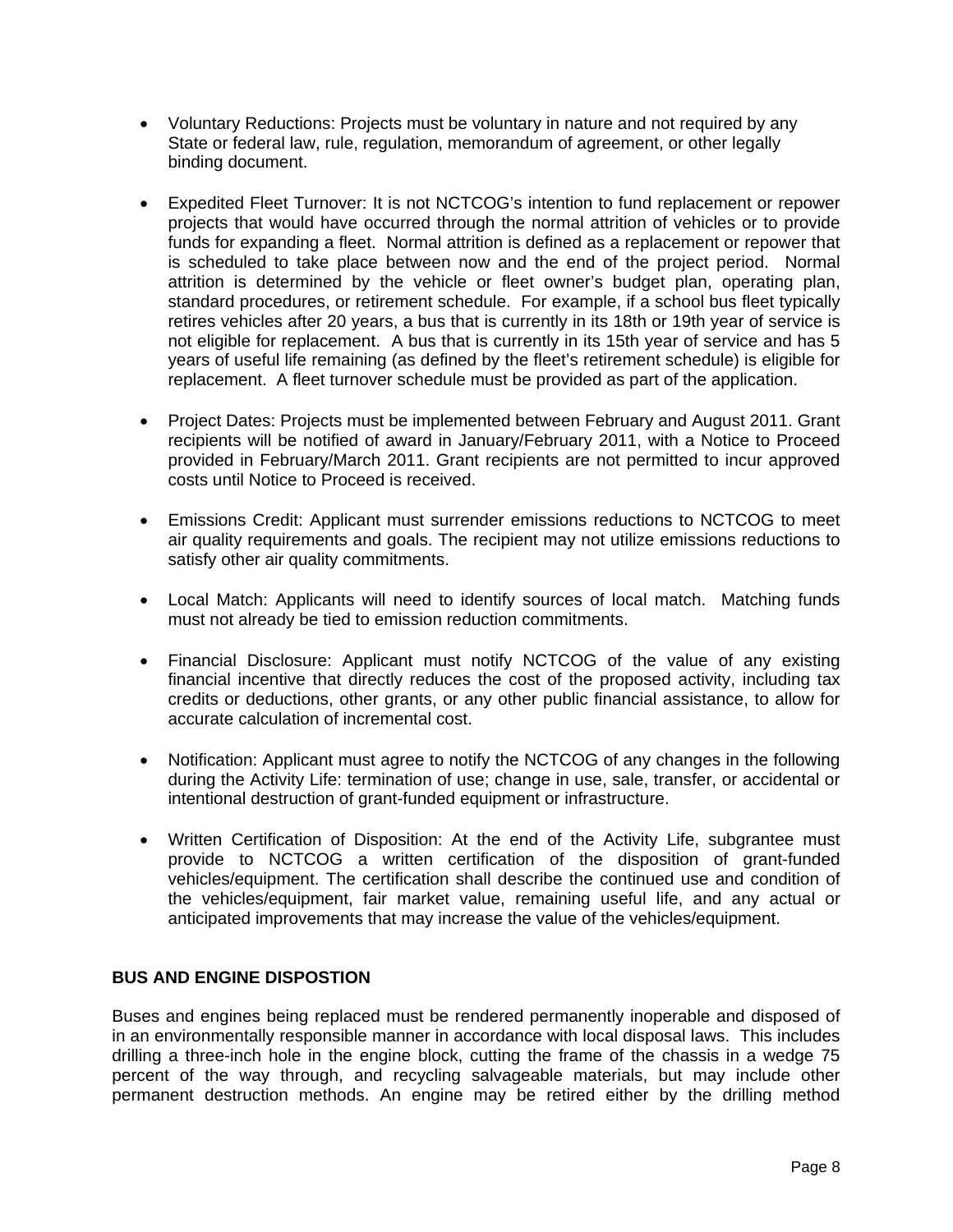- Voluntary Reductions: Projects must be voluntary in nature and not required by any State or federal law, rule, regulation, memorandum of agreement, or other legally binding document.
- Expedited Fleet Turnover: It is not NCTCOG's intention to fund replacement or repower projects that would have occurred through the normal attrition of vehicles or to provide funds for expanding a fleet. Normal attrition is defined as a replacement or repower that is scheduled to take place between now and the end of the project period. Normal attrition is determined by the vehicle or fleet owner's budget plan, operating plan, standard procedures, or retirement schedule. For example, if a school bus fleet typically retires vehicles after 20 years, a bus that is currently in its 18th or 19th year of service is not eligible for replacement. A bus that is currently in its 15th year of service and has 5 years of useful life remaining (as defined by the fleet's retirement schedule) is eligible for replacement. A fleet turnover schedule must be provided as part of the application.
- Project Dates: Projects must be implemented between February and August 2011. Grant recipients will be notified of award in January/February 2011, with a Notice to Proceed provided in February/March 2011. Grant recipients are not permitted to incur approved costs until Notice to Proceed is received.
- Emissions Credit: Applicant must surrender emissions reductions to NCTCOG to meet air quality requirements and goals. The recipient may not utilize emissions reductions to satisfy other air quality commitments.
- Local Match: Applicants will need to identify sources of local match. Matching funds must not already be tied to emission reduction commitments.
- Financial Disclosure: Applicant must notify NCTCOG of the value of any existing financial incentive that directly reduces the cost of the proposed activity, including tax credits or deductions, other grants, or any other public financial assistance, to allow for accurate calculation of incremental cost.
- Notification: Applicant must agree to notify the NCTCOG of any changes in the following during the Activity Life: termination of use; change in use, sale, transfer, or accidental or intentional destruction of grant-funded equipment or infrastructure.
- Written Certification of Disposition: At the end of the Activity Life, subgrantee must provide to NCTCOG a written certification of the disposition of grant-funded vehicles/equipment. The certification shall describe the continued use and condition of the vehicles/equipment, fair market value, remaining useful life, and any actual or anticipated improvements that may increase the value of the vehicles/equipment.

#### **BUS AND ENGINE DISPOSTION**

Buses and engines being replaced must be rendered permanently inoperable and disposed of in an environmentally responsible manner in accordance with local disposal laws. This includes drilling a three-inch hole in the engine block, cutting the frame of the chassis in a wedge 75 percent of the way through, and recycling salvageable materials, but may include other permanent destruction methods. An engine may be retired either by the drilling method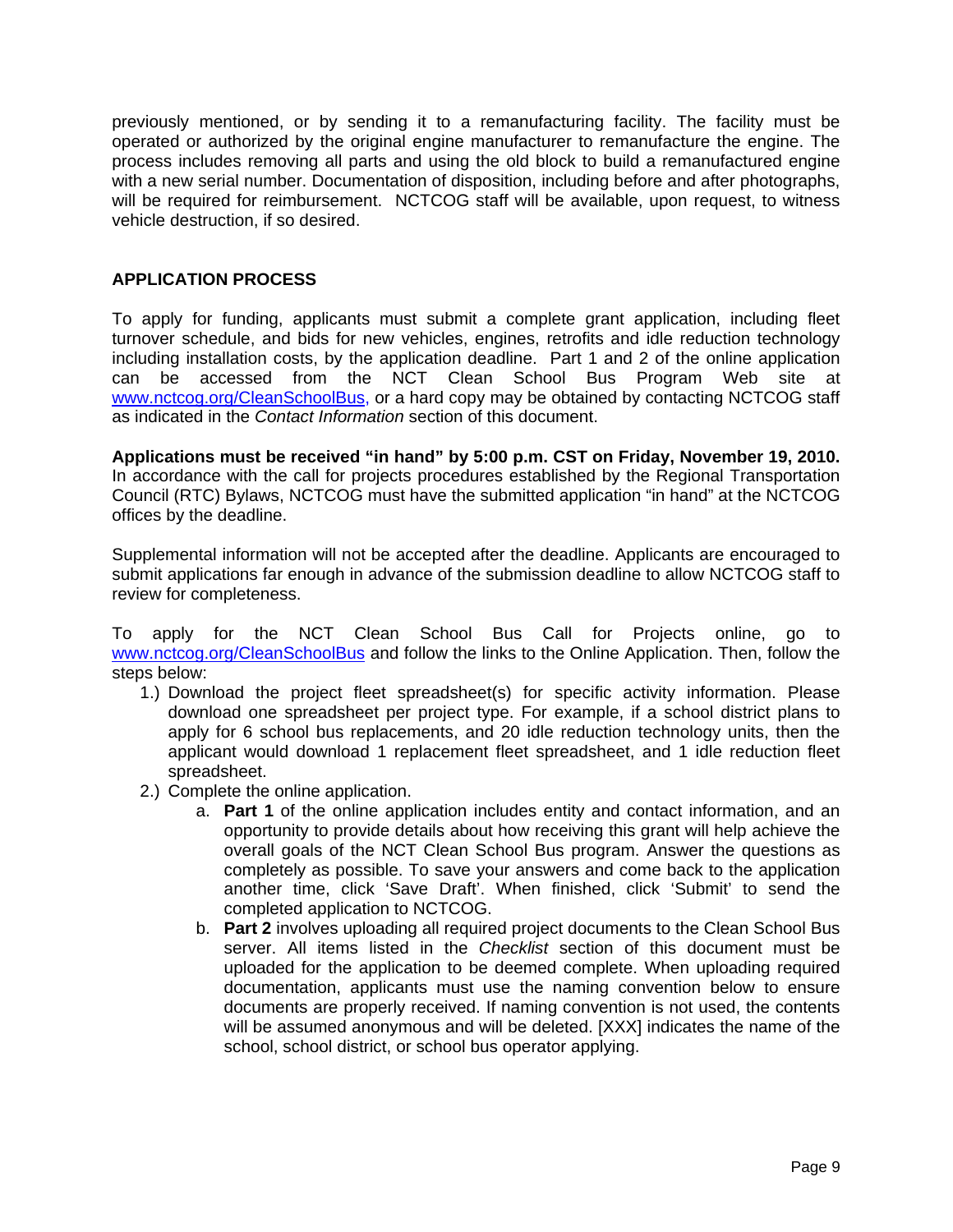previously mentioned, or by sending it to a remanufacturing facility. The facility must be operated or authorized by the original engine manufacturer to remanufacture the engine. The process includes removing all parts and using the old block to build a remanufactured engine with a new serial number. Documentation of disposition, including before and after photographs, will be required for reimbursement. NCTCOG staff will be available, upon request, to witness vehicle destruction, if so desired.

#### **APPLICATION PROCESS**

To apply for funding, applicants must submit a complete grant application, including fleet turnover schedule, and bids for new vehicles, engines, retrofits and idle reduction technology including installation costs, by the application deadline. Part 1 and 2 of the online application can be accessed from the NCT Clean School Bus Program Web site at www.nctcog.org/CleanSchoolBus, or a hard copy may be obtained by contacting NCTCOG staff as indicated in the *Contact Information* section of this document.

**Applications must be received "in hand" by 5:00 p.m. CST on Friday, November 19, 2010.**  In accordance with the call for projects procedures established by the Regional Transportation Council (RTC) Bylaws, NCTCOG must have the submitted application "in hand" at the NCTCOG offices by the deadline.

Supplemental information will not be accepted after the deadline. Applicants are encouraged to submit applications far enough in advance of the submission deadline to allow NCTCOG staff to review for completeness.

To apply for the NCT Clean School Bus Call for Projects online, go to www.nctcog.org/CleanSchoolBus and follow the links to the Online Application. Then, follow the steps below:

- 1.) Download the project fleet spreadsheet(s) for specific activity information. Please download one spreadsheet per project type. For example, if a school district plans to apply for 6 school bus replacements, and 20 idle reduction technology units, then the applicant would download 1 replacement fleet spreadsheet, and 1 idle reduction fleet spreadsheet.
- 2.) Complete the online application.
	- a. **Part 1** of the online application includes entity and contact information, and an opportunity to provide details about how receiving this grant will help achieve the overall goals of the NCT Clean School Bus program. Answer the questions as completely as possible. To save your answers and come back to the application another time, click 'Save Draft'. When finished, click 'Submit' to send the completed application to NCTCOG.
	- b. **Part 2** involves uploading all required project documents to the Clean School Bus server. All items listed in the *Checklist* section of this document must be uploaded for the application to be deemed complete. When uploading required documentation, applicants must use the naming convention below to ensure documents are properly received. If naming convention is not used, the contents will be assumed anonymous and will be deleted. [XXX] indicates the name of the school, school district, or school bus operator applying.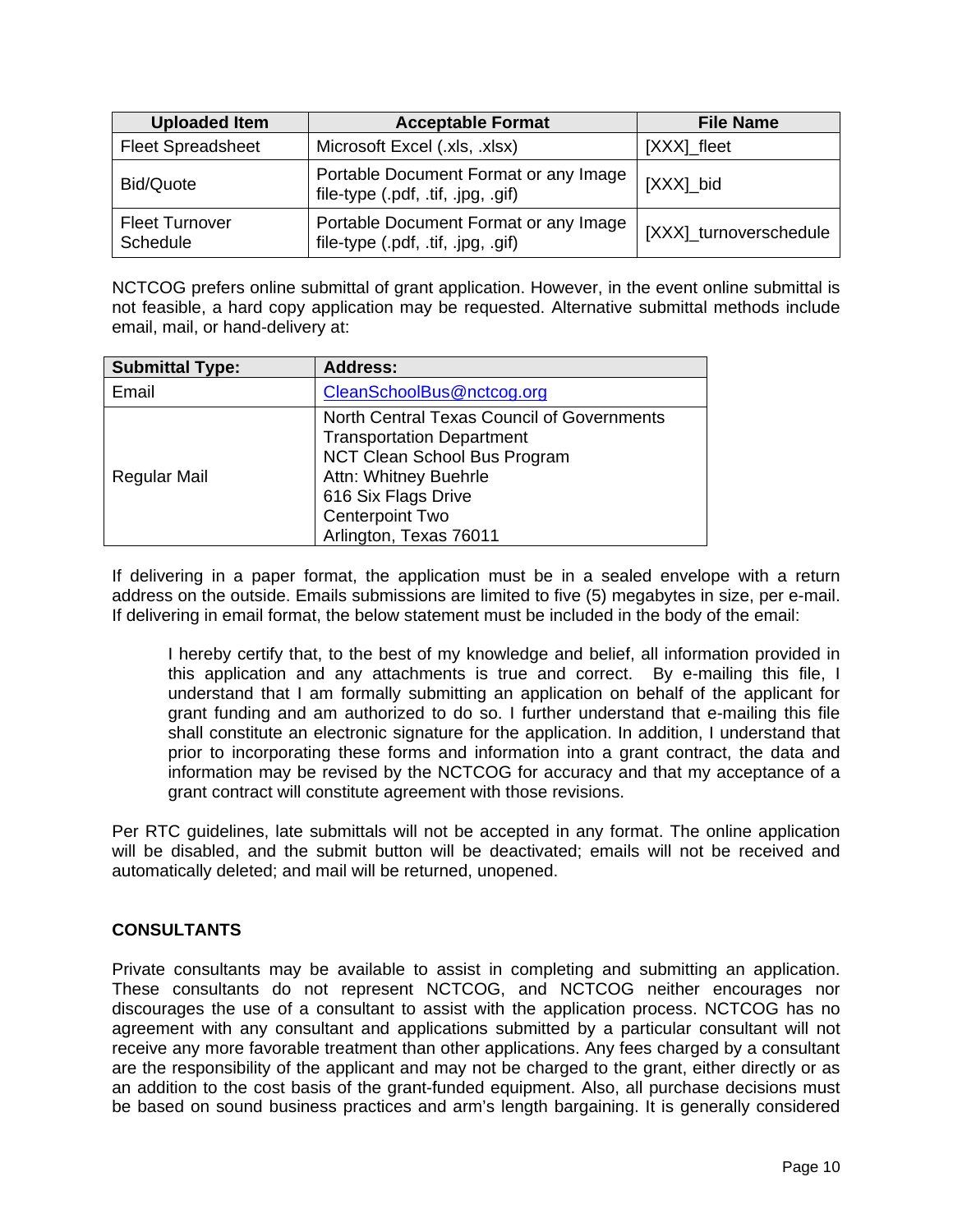| <b>Uploaded Item</b>              | <b>Acceptable Format</b>                                                    | <b>File Name</b>       |
|-----------------------------------|-----------------------------------------------------------------------------|------------------------|
| <b>Fleet Spreadsheet</b>          | Microsoft Excel (.xls, .xlsx)                                               | [XXX]_fleet            |
| Bid/Quote                         | Portable Document Format or any Image<br>file-type (.pdf, .tif, .jpg, .gif) | [XXX]_bid              |
| <b>Fleet Turnover</b><br>Schedule | Portable Document Format or any Image<br>file-type (.pdf, .tif, .jpg, .gif) | [XXX]_turnoverschedule |

NCTCOG prefers online submittal of grant application. However, in the event online submittal is not feasible, a hard copy application may be requested. Alternative submittal methods include email, mail, or hand-delivery at:

| <b>Submittal Type:</b> | <b>Address:</b>                                                                                                                                                                                                    |
|------------------------|--------------------------------------------------------------------------------------------------------------------------------------------------------------------------------------------------------------------|
| Email                  | CleanSchoolBus@nctcog.org                                                                                                                                                                                          |
| Regular Mail           | North Central Texas Council of Governments<br><b>Transportation Department</b><br>NCT Clean School Bus Program<br>Attn: Whitney Buehrle<br>616 Six Flags Drive<br><b>Centerpoint Two</b><br>Arlington, Texas 76011 |

If delivering in a paper format, the application must be in a sealed envelope with a return address on the outside. Emails submissions are limited to five (5) megabytes in size, per e-mail. If delivering in email format, the below statement must be included in the body of the email:

I hereby certify that, to the best of my knowledge and belief, all information provided in this application and any attachments is true and correct. By e-mailing this file, I understand that I am formally submitting an application on behalf of the applicant for grant funding and am authorized to do so. I further understand that e-mailing this file shall constitute an electronic signature for the application. In addition, I understand that prior to incorporating these forms and information into a grant contract, the data and information may be revised by the NCTCOG for accuracy and that my acceptance of a grant contract will constitute agreement with those revisions.

Per RTC guidelines, late submittals will not be accepted in any format. The online application will be disabled, and the submit button will be deactivated; emails will not be received and automatically deleted; and mail will be returned, unopened.

#### **CONSULTANTS**

Private consultants may be available to assist in completing and submitting an application. These consultants do not represent NCTCOG, and NCTCOG neither encourages nor discourages the use of a consultant to assist with the application process. NCTCOG has no agreement with any consultant and applications submitted by a particular consultant will not receive any more favorable treatment than other applications. Any fees charged by a consultant are the responsibility of the applicant and may not be charged to the grant, either directly or as an addition to the cost basis of the grant-funded equipment. Also, all purchase decisions must be based on sound business practices and arm's length bargaining. It is generally considered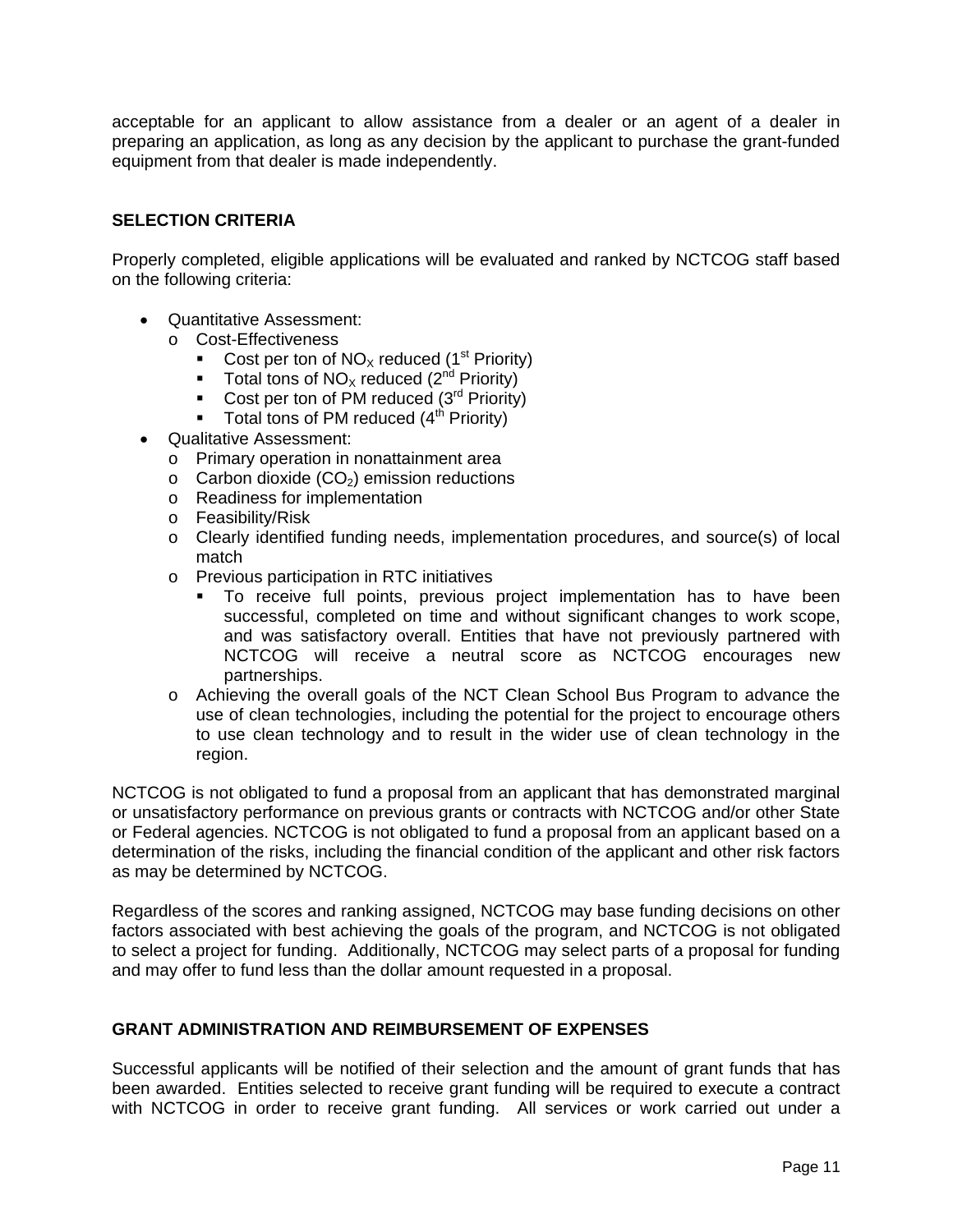acceptable for an applicant to allow assistance from a dealer or an agent of a dealer in preparing an application, as long as any decision by the applicant to purchase the grant-funded equipment from that dealer is made independently.

#### **SELECTION CRITERIA**

Properly completed, eligible applications will be evaluated and ranked by NCTCOG staff based on the following criteria:

- Quantitative Assessment:
	- o Cost-Effectiveness
		- Cost per ton of  $NO_x$  reduced (1<sup>st</sup> Priority)<br>Total tons of  $NO_y$  reduced (2<sup>nd</sup> Priority)
		- Total tons of  $NO_x$  reduced ( $2<sup>nd</sup>$  Priority)
		- Cost per ton of PM reduced  $(3<sup>rd</sup>$  Priority)
		- Total tons of PM reduced  $(4<sup>th</sup>$  Priority)
- Qualitative Assessment:
	- o Primary operation in nonattainment area
	- $\circ$  Carbon dioxide (CO<sub>2</sub>) emission reductions
	- o Readiness for implementation
	- o Feasibility/Risk
	- o Clearly identified funding needs, implementation procedures, and source(s) of local match
	- o Previous participation in RTC initiatives
		- To receive full points, previous project implementation has to have been successful, completed on time and without significant changes to work scope, and was satisfactory overall. Entities that have not previously partnered with NCTCOG will receive a neutral score as NCTCOG encourages new partnerships.
	- o Achieving the overall goals of the NCT Clean School Bus Program to advance the use of clean technologies, including the potential for the project to encourage others to use clean technology and to result in the wider use of clean technology in the region.

NCTCOG is not obligated to fund a proposal from an applicant that has demonstrated marginal or unsatisfactory performance on previous grants or contracts with NCTCOG and/or other State or Federal agencies. NCTCOG is not obligated to fund a proposal from an applicant based on a determination of the risks, including the financial condition of the applicant and other risk factors as may be determined by NCTCOG.

Regardless of the scores and ranking assigned, NCTCOG may base funding decisions on other factors associated with best achieving the goals of the program, and NCTCOG is not obligated to select a project for funding. Additionally, NCTCOG may select parts of a proposal for funding and may offer to fund less than the dollar amount requested in a proposal.

#### **GRANT ADMINISTRATION AND REIMBURSEMENT OF EXPENSES**

Successful applicants will be notified of their selection and the amount of grant funds that has been awarded. Entities selected to receive grant funding will be required to execute a contract with NCTCOG in order to receive grant funding. All services or work carried out under a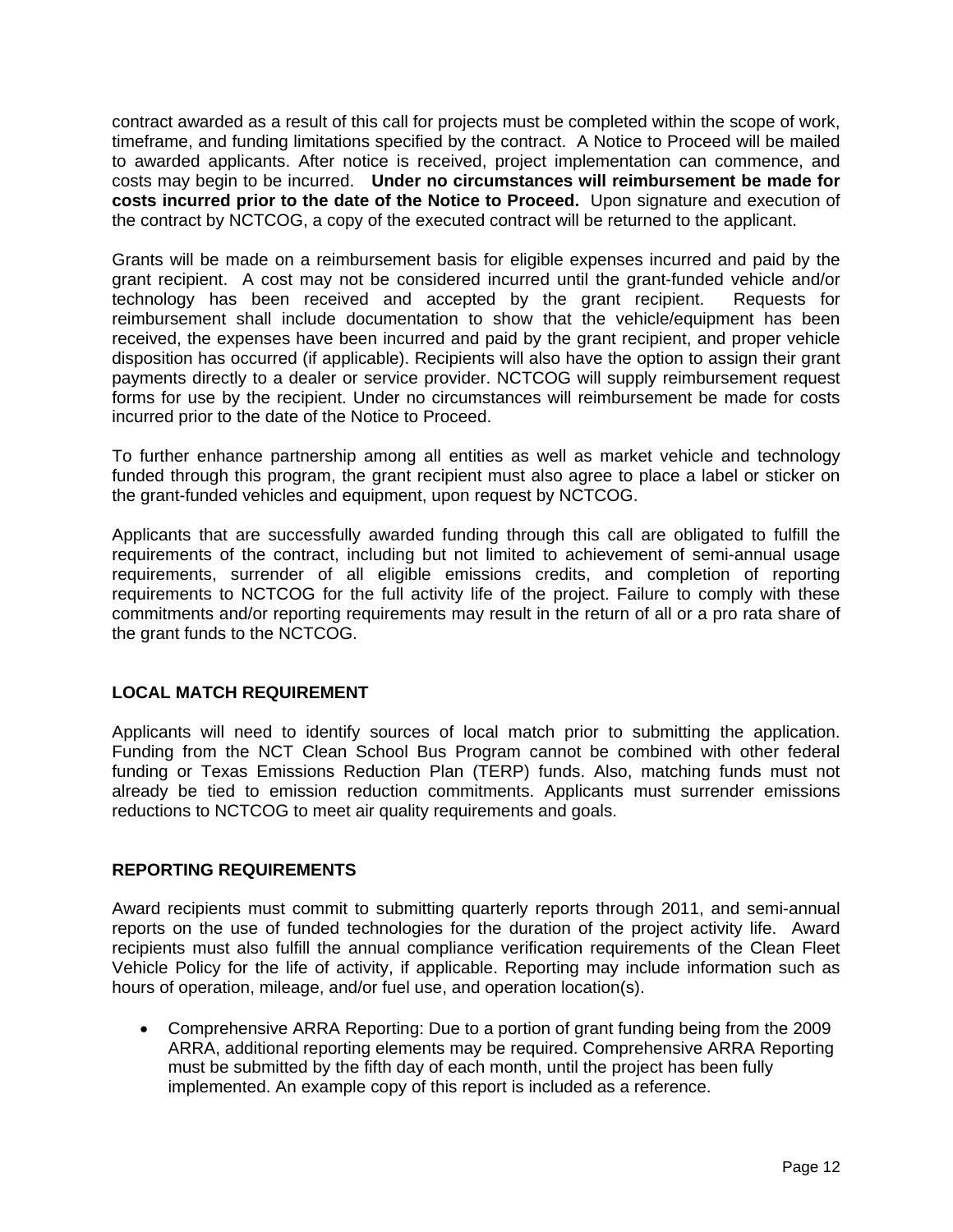contract awarded as a result of this call for projects must be completed within the scope of work, timeframe, and funding limitations specified by the contract. A Notice to Proceed will be mailed to awarded applicants. After notice is received, project implementation can commence, and costs may begin to be incurred. **Under no circumstances will reimbursement be made for costs incurred prior to the date of the Notice to Proceed.** Upon signature and execution of the contract by NCTCOG, a copy of the executed contract will be returned to the applicant.

Grants will be made on a reimbursement basis for eligible expenses incurred and paid by the grant recipient. A cost may not be considered incurred until the grant-funded vehicle and/or technology has been received and accepted by the grant recipient. Requests for reimbursement shall include documentation to show that the vehicle/equipment has been received, the expenses have been incurred and paid by the grant recipient, and proper vehicle disposition has occurred (if applicable). Recipients will also have the option to assign their grant payments directly to a dealer or service provider. NCTCOG will supply reimbursement request forms for use by the recipient. Under no circumstances will reimbursement be made for costs incurred prior to the date of the Notice to Proceed.

To further enhance partnership among all entities as well as market vehicle and technology funded through this program, the grant recipient must also agree to place a label or sticker on the grant-funded vehicles and equipment, upon request by NCTCOG.

Applicants that are successfully awarded funding through this call are obligated to fulfill the requirements of the contract, including but not limited to achievement of semi-annual usage requirements, surrender of all eligible emissions credits, and completion of reporting requirements to NCTCOG for the full activity life of the project. Failure to comply with these commitments and/or reporting requirements may result in the return of all or a pro rata share of the grant funds to the NCTCOG.

#### **LOCAL MATCH REQUIREMENT**

Applicants will need to identify sources of local match prior to submitting the application. Funding from the NCT Clean School Bus Program cannot be combined with other federal funding or Texas Emissions Reduction Plan (TERP) funds. Also, matching funds must not already be tied to emission reduction commitments. Applicants must surrender emissions reductions to NCTCOG to meet air quality requirements and goals.

#### **REPORTING REQUIREMENTS**

Award recipients must commit to submitting quarterly reports through 2011, and semi-annual reports on the use of funded technologies for the duration of the project activity life. Award recipients must also fulfill the annual compliance verification requirements of the Clean Fleet Vehicle Policy for the life of activity, if applicable. Reporting may include information such as hours of operation, mileage, and/or fuel use, and operation location(s).

 Comprehensive ARRA Reporting: Due to a portion of grant funding being from the 2009 ARRA, additional reporting elements may be required. Comprehensive ARRA Reporting must be submitted by the fifth day of each month, until the project has been fully implemented. An example copy of this report is included as a reference.